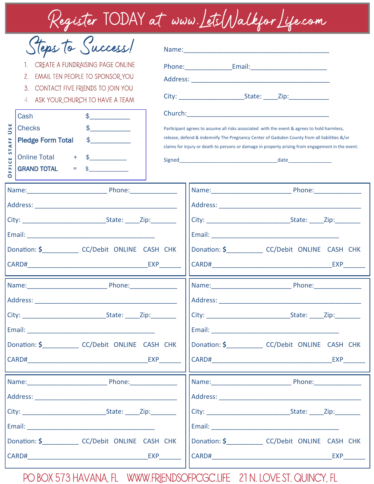Register TODAY at www.LetsWalkforLife.com

| Steps to Success!<br>CREATE A FUNDRAISING PAGE ONLINE<br>EMAIL TEN PEOPLE TO SPONSOR YOU<br>2.<br>3.<br>CONTACT FIVE FRIENDS TO JOIN YOU<br>ASK YOUR CHURCH TO HAVE A TEAM<br>4.<br>$\frac{1}{2}$<br>Cash<br>USE<br><b>Checks</b><br>$\updownarrow$ |                                                       | Participant agrees to assume all risks associated with the event & agrees to hold harmless, |                                                      |                                                                                                                                                                                                                                      |
|-----------------------------------------------------------------------------------------------------------------------------------------------------------------------------------------------------------------------------------------------------|-------------------------------------------------------|---------------------------------------------------------------------------------------------|------------------------------------------------------|--------------------------------------------------------------------------------------------------------------------------------------------------------------------------------------------------------------------------------------|
| <b>AFF</b><br><b>Pledge Form Total</b><br>57<br>Online Total +<br>Ű<br>E<br><b>GRAND TOTAL</b><br>O                                                                                                                                                 | $\frac{1}{2}$<br>$=$<br>$\mathfrak{S}$                |                                                                                             |                                                      | release, defend & indemnify The Pregnancy Center of Gadsden County from all liabilities &/or<br>claims for injury or death to persons or damage in property arising from engagement in the event.                                    |
|                                                                                                                                                                                                                                                     |                                                       |                                                                                             |                                                      |                                                                                                                                                                                                                                      |
|                                                                                                                                                                                                                                                     |                                                       |                                                                                             |                                                      |                                                                                                                                                                                                                                      |
|                                                                                                                                                                                                                                                     |                                                       |                                                                                             |                                                      |                                                                                                                                                                                                                                      |
|                                                                                                                                                                                                                                                     |                                                       |                                                                                             |                                                      |                                                                                                                                                                                                                                      |
|                                                                                                                                                                                                                                                     | Donation: \$________________ CC/Debit_ONLINE_CASH_CHK |                                                                                             |                                                      | Donation: \$_______________ CC/Debit_ONLINE_CASH_CHK                                                                                                                                                                                 |
|                                                                                                                                                                                                                                                     |                                                       |                                                                                             |                                                      |                                                                                                                                                                                                                                      |
|                                                                                                                                                                                                                                                     |                                                       |                                                                                             |                                                      |                                                                                                                                                                                                                                      |
|                                                                                                                                                                                                                                                     |                                                       |                                                                                             |                                                      |                                                                                                                                                                                                                                      |
|                                                                                                                                                                                                                                                     |                                                       |                                                                                             |                                                      |                                                                                                                                                                                                                                      |
|                                                                                                                                                                                                                                                     |                                                       |                                                                                             |                                                      |                                                                                                                                                                                                                                      |
|                                                                                                                                                                                                                                                     |                                                       |                                                                                             | Donation: \$_______________ CC/Debit_ONLINE_CASH_CHK |                                                                                                                                                                                                                                      |
|                                                                                                                                                                                                                                                     | CARD# EXP                                             |                                                                                             |                                                      | <b>EXP</b>                                                                                                                                                                                                                           |
|                                                                                                                                                                                                                                                     |                                                       |                                                                                             |                                                      |                                                                                                                                                                                                                                      |
|                                                                                                                                                                                                                                                     |                                                       |                                                                                             |                                                      |                                                                                                                                                                                                                                      |
|                                                                                                                                                                                                                                                     |                                                       |                                                                                             |                                                      |                                                                                                                                                                                                                                      |
|                                                                                                                                                                                                                                                     |                                                       |                                                                                             |                                                      |                                                                                                                                                                                                                                      |
|                                                                                                                                                                                                                                                     | Donation: \$ CC/Debit ONLINE CASH CHK                 |                                                                                             |                                                      | Donation: \$ CC/Debit ONLINE CASH CHK                                                                                                                                                                                                |
|                                                                                                                                                                                                                                                     | CARD# EXP                                             |                                                                                             |                                                      | CARD# The Case of the Case of the CARD of the Case of the Case of the Case of the Case of the Case of the Case of the Case of the Case of the Case of the Case of the Case of the Case of the Case of the Case of the Case of<br>EXP |

PO BOX 573 Havana, FL www.friendsofpcgc.life 21 N. Love St. Quincy, FL